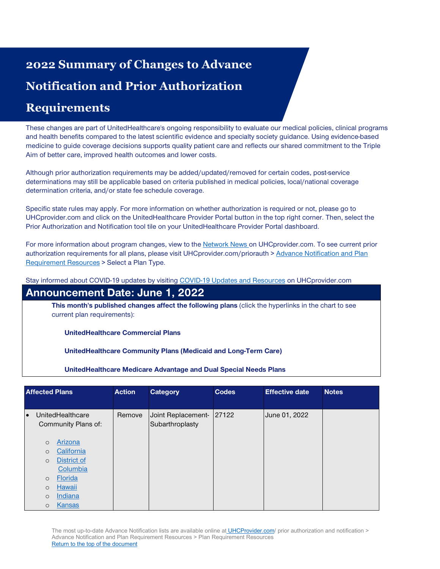# <span id="page-0-0"></span>**2022 Summary of Changes to Advance Notification and Prior Authorization**

## **Requirements**

These changes are part of UnitedHealthcare's ongoing responsibility to evaluate our medical policies, clinical programs and health benefits compared to the latest scientific evidence and specialty society guidance. Using evidence-based medicine to guide coverage decisions supports quality patient care and reflects our shared commitment to the Triple Aim of better care, improved health outcomes and lower costs.

Although prior authorization requirements may be added/updated/removed for certain codes, post-service determinations may still be applicable based on criteria published in medical policies, local/national coverage determination criteria, and/or state fee schedule coverage.

Specific state rules may apply. For more information on whether authorization is required or not, please go to UHCprovider.com and click on the UnitedHealthcare Provider Portal button in the top right corner. Then, select the Prior Authorization and Notification tool tile on your UnitedHealthcare Provider Portal dashboard.

For more information about program changes, view to th[e Network News](https://www.uhcprovider.com/en/resource-library/news.html) [o](https://www.uhcprovider.com/en/resource-library/news.html)n UHCprovider.com. To see current prior authorization requirements for all plans, please visit UHCprovider.com/priorauth > [Advance Notification and Plan](https://www.uhcprovider.com/en/prior-auth-advance-notification/adv-notification-plan-reqs.html)  [Requirement Resources](https://www.uhcprovider.com/en/prior-auth-advance-notification/adv-notification-plan-reqs.html) > Select a Plan Type.

Stay informed about COVID-19 updates by visiting [COVID-19 Updates and Resources](https://www.uhcprovider.com/en/resource-library/news/Novel-Coronavirus-COVID-19.html) on UHCprovider.com

### **Announcement Date: June 1, 2022**

**This month's published changes affect the following plans** (click the hyperlinks in the chart to see current plan requirements):

**UnitedHealthcare Commercial Plans**

**UnitedHealthcare Community Plans (Medicaid and Long-Term Care)**

**UnitedHealthcare Medicare Advantage and Dual Special Needs Plans**

| <b>Affected Plans</b> |         | <b>Action</b>                           | <b>Category</b> | <b>Codes</b>                                | <b>Effective date</b> | <b>Notes</b>  |  |
|-----------------------|---------|-----------------------------------------|-----------------|---------------------------------------------|-----------------------|---------------|--|
|                       |         |                                         |                 |                                             |                       |               |  |
| $\bullet$             |         | UnitedHealthcare<br>Community Plans of: | Remove          | Joint Replacement- 27122<br>Subarthroplasty |                       | June 01, 2022 |  |
|                       | $\circ$ | Arizona                                 |                 |                                             |                       |               |  |
|                       | $\circ$ | California                              |                 |                                             |                       |               |  |
|                       | $\circ$ | <b>District of</b>                      |                 |                                             |                       |               |  |
|                       |         | Columbia                                |                 |                                             |                       |               |  |
|                       | $\circ$ | <b>Florida</b>                          |                 |                                             |                       |               |  |
|                       | $\circ$ | <b>Hawaii</b>                           |                 |                                             |                       |               |  |
|                       | $\circ$ | Indiana                                 |                 |                                             |                       |               |  |
|                       | $\circ$ | Kansas                                  |                 |                                             |                       |               |  |

The most up-to-date Advance Notification lists are available online at [UHCProvider.com/](https://www.uhcprovider.com/) prior authorization and notification > Advance Notification and Plan Requirement Resources > Plan Requirement Resources Return to the top [of the document](#page-0-0)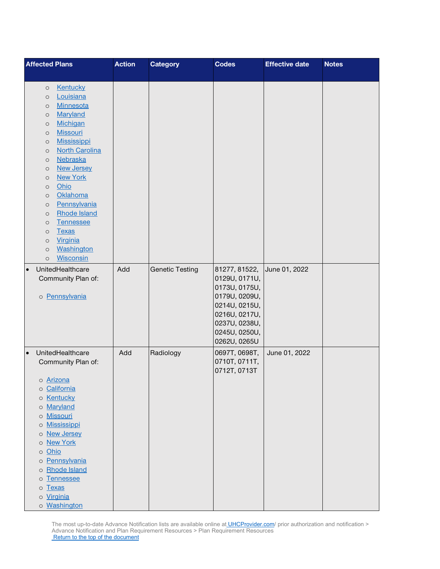| <b>Affected Plans</b>                    | <b>Action</b> | <b>Category</b>        | <b>Codes</b>                   | <b>Effective date</b> | <b>Notes</b> |
|------------------------------------------|---------------|------------------------|--------------------------------|-----------------------|--------------|
|                                          |               |                        |                                |                       |              |
| <b>Kentucky</b><br>$\circ$               |               |                        |                                |                       |              |
| Louisiana<br>$\circ$<br><b>Minnesota</b> |               |                        |                                |                       |              |
| $\circ$<br>Maryland<br>$\circ$           |               |                        |                                |                       |              |
| <b>Michigan</b><br>$\circ$               |               |                        |                                |                       |              |
| <b>Missouri</b><br>$\circ$               |               |                        |                                |                       |              |
| <b>Mississippi</b><br>$\circ$            |               |                        |                                |                       |              |
| <b>North Carolina</b><br>$\circ$         |               |                        |                                |                       |              |
| <b>Nebraska</b><br>$\circ$               |               |                        |                                |                       |              |
| <b>New Jersey</b><br>$\circ$             |               |                        |                                |                       |              |
| <b>New York</b><br>$\circ$               |               |                        |                                |                       |              |
| Ohio<br>$\circ$                          |               |                        |                                |                       |              |
| Oklahoma<br>$\circ$                      |               |                        |                                |                       |              |
| Pennsylvania<br>$\circ$                  |               |                        |                                |                       |              |
| <b>Rhode Island</b><br>$\circ$           |               |                        |                                |                       |              |
| <b>Tennessee</b><br>$\circ$              |               |                        |                                |                       |              |
| <b>Texas</b><br>$\circ$                  |               |                        |                                |                       |              |
| Virginia<br>$\circ$                      |               |                        |                                |                       |              |
| Washington<br>$\circ$                    |               |                        |                                |                       |              |
| <b>Wisconsin</b><br>$\circ$              |               |                        |                                |                       |              |
| UnitedHealthcare<br>$\bullet$            | Add           | <b>Genetic Testing</b> | 81277, 81522,                  | June 01, 2022         |              |
| Community Plan of:                       |               |                        | 0129U, 0171U,                  |                       |              |
|                                          |               |                        | 0173U, 0175U,                  |                       |              |
| o Pennsylvania                           |               |                        | 0179U, 0209U,                  |                       |              |
|                                          |               |                        | 0214U, 0215U,                  |                       |              |
|                                          |               |                        | 0216U, 0217U,<br>0237U, 0238U, |                       |              |
|                                          |               |                        | 0245U, 0250U,                  |                       |              |
|                                          |               |                        | 0262U, 0265U                   |                       |              |
| UnitedHealthcare<br>$\bullet$            | Add           | Radiology              | 0697T, 0698T,                  | June 01, 2022         |              |
| Community Plan of:                       |               |                        | 0710T, 0711T,                  |                       |              |
|                                          |               |                        | 0712T, 0713T                   |                       |              |
| o Arizona                                |               |                        |                                |                       |              |
| California<br>$\circ$                    |               |                        |                                |                       |              |
| <b>Kentucky</b><br>$\circ$               |               |                        |                                |                       |              |
| Maryland<br>$\circ$                      |               |                        |                                |                       |              |
| <b>Missouri</b><br>$\circ$               |               |                        |                                |                       |              |
| <b>Mississippi</b><br>$\circ$            |               |                        |                                |                       |              |
| <b>New Jersey</b><br>$\circ$             |               |                        |                                |                       |              |
| <b>New York</b><br>$\circ$               |               |                        |                                |                       |              |
| Ohio<br>$\circ$                          |               |                        |                                |                       |              |
| Pennsylvania<br>$\circ$                  |               |                        |                                |                       |              |
| <b>Rhode Island</b><br>$\circ$           |               |                        |                                |                       |              |
| <b>Tennessee</b><br>$\circ$              |               |                        |                                |                       |              |
| <b>Texas</b><br>$\circ$                  |               |                        |                                |                       |              |
| o Virginia                               |               |                        |                                |                       |              |
| o Washington                             |               |                        |                                |                       |              |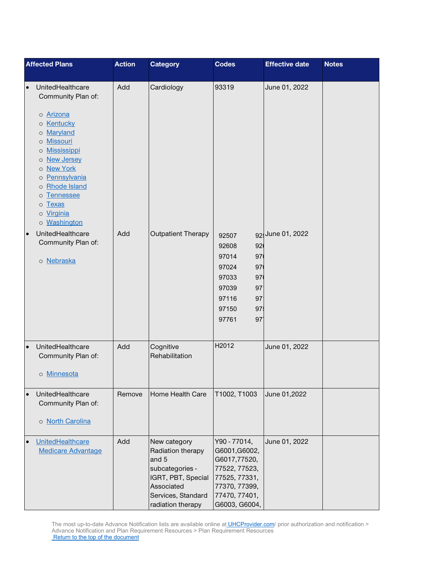| <b>Affected Plans</b>                                                                                                                                                                                                                                                                                          | <b>Action</b> | <b>Category</b>                                                                                                                              | <b>Codes</b>                                                                                                                       | <b>Effective date</b> | <b>Notes</b> |
|----------------------------------------------------------------------------------------------------------------------------------------------------------------------------------------------------------------------------------------------------------------------------------------------------------------|---------------|----------------------------------------------------------------------------------------------------------------------------------------------|------------------------------------------------------------------------------------------------------------------------------------|-----------------------|--------------|
| UnitedHealthcare<br>$\bullet$<br>Community Plan of:<br>o Arizona<br>o Kentucky<br>o Maryland<br><b>Missouri</b><br>$\circ$<br>Mississippi<br>$\circ$<br>o New Jersey<br>o New York<br>o Pennsylvania<br>o Rhode Island<br><b>Tennessee</b><br>$\circ$<br><b>Texas</b><br>$\circ$<br>o Virginia<br>o Washington | Add           | Cardiology                                                                                                                                   | 93319                                                                                                                              | June 01, 2022         |              |
| UnitedHealthcare<br>$\bullet$<br>Community Plan of:<br>o Nebraska                                                                                                                                                                                                                                              | Add           | <b>Outpatient Therapy</b>                                                                                                                    | 92507<br>92608<br>92<br>97<br>97014<br>97024<br>97<br>97033<br>97<br>97039<br>97<br>97116<br>97<br>97150<br>97<br>97<br>97761      | 92 June 01, 2022      |              |
| UnitedHealthcare<br>$\bullet$<br>Community Plan of:<br>o Minnesota                                                                                                                                                                                                                                             | Add           | Cognitive<br>Rehabilitation                                                                                                                  | H2012                                                                                                                              | June 01, 2022         |              |
| UnitedHealthcare<br>$\bullet$<br>Community Plan of:<br>o North Carolina                                                                                                                                                                                                                                        | Remove        | Home Health Care                                                                                                                             | T1002, T1003                                                                                                                       | June 01,2022          |              |
| UnitedHealthcare<br>$\bullet$<br><b>Medicare Advantage</b>                                                                                                                                                                                                                                                     | Add           | New category<br>Radiation therapy<br>and 5<br>subcategories -<br>IGRT, PBT, Special<br>Associated<br>Services, Standard<br>radiation therapy | Y90 - 77014,<br>G6001, G6002,<br>G6017,77520,<br>77522, 77523,<br>77525, 77331,<br>77370, 77399,<br>77470, 77401,<br>G6003, G6004, | June 01, 2022         |              |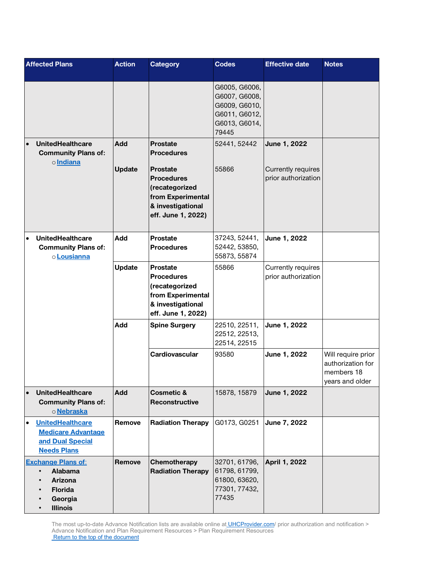| <b>Affected Plans</b>                                                                                        | <b>Action</b> | <b>Category</b>                                                                                                        | <b>Codes</b>                                                                               | <b>Effective date</b>                     | <b>Notes</b>                                                             |
|--------------------------------------------------------------------------------------------------------------|---------------|------------------------------------------------------------------------------------------------------------------------|--------------------------------------------------------------------------------------------|-------------------------------------------|--------------------------------------------------------------------------|
|                                                                                                              |               |                                                                                                                        | G6005, G6006,<br>G6007, G6008,<br>G6009, G6010,<br>G6011, G6012,<br>G6013, G6014,<br>79445 |                                           |                                                                          |
| <b>UnitedHealthcare</b><br><b>Community Plans of:</b>                                                        | Add           | <b>Prostate</b><br><b>Procedures</b>                                                                                   | 52441, 52442                                                                               | June 1, 2022                              |                                                                          |
| olndiana                                                                                                     | <b>Update</b> | <b>Prostate</b><br><b>Procedures</b><br>(recategorized<br>from Experimental<br>& investigational<br>eff. June 1, 2022) | 55866                                                                                      | Currently requires<br>prior authorization |                                                                          |
| <b>UnitedHealthcare</b><br>$\bullet$<br><b>Community Plans of:</b><br>oLousianna                             | Add           | <b>Prostate</b><br><b>Procedures</b>                                                                                   | 37243, 52441,<br>52442, 53850,<br>55873, 55874                                             | June 1, 2022                              |                                                                          |
|                                                                                                              | <b>Update</b> | <b>Prostate</b><br><b>Procedures</b><br>(recategorized<br>from Experimental<br>& investigational<br>eff. June 1, 2022) | 55866                                                                                      | Currently requires<br>prior authorization |                                                                          |
|                                                                                                              | Add           | <b>Spine Surgery</b>                                                                                                   | 22510, 22511,<br>22512, 22513,<br>22514, 22515                                             | June 1, 2022                              |                                                                          |
|                                                                                                              |               | Cardiovascular                                                                                                         | 93580                                                                                      | June 1, 2022                              | Will require prior<br>authorization for<br>members 18<br>years and older |
| <b>UnitedHealthcare</b><br>$\bullet$<br><b>Community Plans of:</b><br>o Nebraska                             | <b>Add</b>    | <b>Cosmetic &amp;</b><br>Reconstructive                                                                                | 15878, 15879                                                                               | June 1, 2022                              |                                                                          |
| <b>UnitedHealthcare</b><br>$\bullet$<br><b>Medicare Advantage</b><br>and Dual Special<br><b>Needs Plans</b>  | Remove        | <b>Radiation Therapy</b>                                                                                               | G0173, G0251                                                                               | June 7, 2022                              |                                                                          |
| <b>Exchange Plans of:</b><br>Alabama<br>$\bullet$<br>Arizona<br><b>Florida</b><br>Georgia<br><b>Illinois</b> | Remove        | Chemotherapy<br><b>Radiation Therapy</b>                                                                               | 32701, 61796,<br>61798, 61799,<br>61800, 63620,<br>77301, 77432,<br>77435                  | April 1, 2022                             |                                                                          |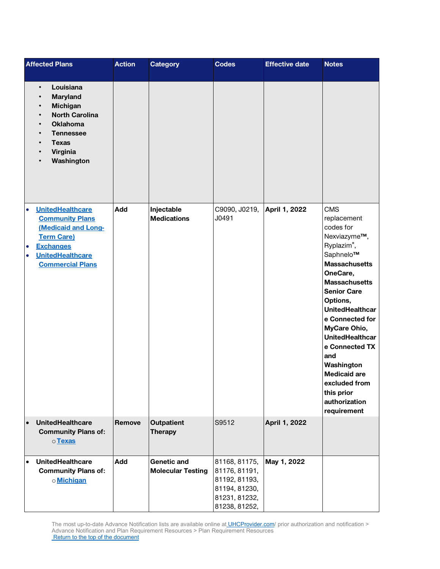|                                     | <b>Affected Plans</b>                                                                                                                                                          | <b>Action</b> | <b>Category</b>                                | <b>Codes</b>                                                                                       | <b>Effective date</b> | <b>Notes</b>                                                                                                                                                                                                                                                                                                                                                                                        |
|-------------------------------------|--------------------------------------------------------------------------------------------------------------------------------------------------------------------------------|---------------|------------------------------------------------|----------------------------------------------------------------------------------------------------|-----------------------|-----------------------------------------------------------------------------------------------------------------------------------------------------------------------------------------------------------------------------------------------------------------------------------------------------------------------------------------------------------------------------------------------------|
|                                     | Louisiana<br>$\bullet$<br><b>Maryland</b><br><b>Michigan</b><br><b>North Carolina</b><br><b>Oklahoma</b><br><b>Tennessee</b><br><b>Texas</b><br>Virginia<br>Washington         |               |                                                |                                                                                                    |                       |                                                                                                                                                                                                                                                                                                                                                                                                     |
| $\bullet$<br>$\bullet$<br>$\bullet$ | <b>UnitedHealthcare</b><br><b>Community Plans</b><br><b>(Medicaid and Long-</b><br><b>Term Care)</b><br><b>Exchanges</b><br><b>UnitedHealthcare</b><br><b>Commercial Plans</b> | Add           | Injectable<br><b>Medications</b>               | C9090, J0219,<br>J0491                                                                             | April 1, 2022         | <b>CMS</b><br>replacement<br>codes for<br>Nexviazyme™,<br>Ryplazim®,<br>Saphnelo™<br><b>Massachusetts</b><br>OneCare,<br><b>Massachusetts</b><br><b>Senior Care</b><br>Options,<br><b>UnitedHealthcar</b><br>e Connected for<br>MyCare Ohio,<br><b>UnitedHealthcar</b><br>e Connected TX<br>and<br>Washington<br><b>Medicaid are</b><br>excluded from<br>this prior<br>authorization<br>requirement |
| $\bullet$                           | <b>UnitedHealthcare</b><br><b>Community Plans of:</b><br>o Texas                                                                                                               | Remove        | <b>Outpatient</b><br><b>Therapy</b>            | S9512                                                                                              | April 1, 2022         |                                                                                                                                                                                                                                                                                                                                                                                                     |
| $\bullet$                           | <b>UnitedHealthcare</b><br><b>Community Plans of:</b><br>o Michigan                                                                                                            | Add           | <b>Genetic and</b><br><b>Molecular Testing</b> | 81168, 81175,<br>81176, 81191,<br>81192, 81193,<br>81194, 81230,<br>81231, 81232,<br>81238, 81252, | May 1, 2022           |                                                                                                                                                                                                                                                                                                                                                                                                     |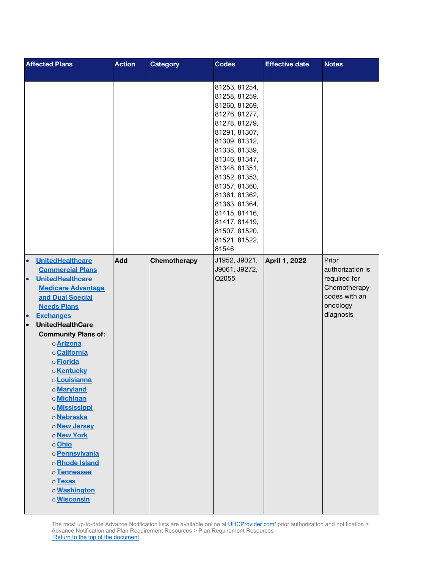| <b>Affected Plans</b>                                                                                                                                                                                                                                                                                                                                                                                                                                                                                                                                              | <b>Action</b> | <b>Category</b> | <b>Codes</b>                                                                                                                                                                                                                                                                                                            | <b>Effective date</b> | <b>Notes</b>                                                                                        |
|--------------------------------------------------------------------------------------------------------------------------------------------------------------------------------------------------------------------------------------------------------------------------------------------------------------------------------------------------------------------------------------------------------------------------------------------------------------------------------------------------------------------------------------------------------------------|---------------|-----------------|-------------------------------------------------------------------------------------------------------------------------------------------------------------------------------------------------------------------------------------------------------------------------------------------------------------------------|-----------------------|-----------------------------------------------------------------------------------------------------|
|                                                                                                                                                                                                                                                                                                                                                                                                                                                                                                                                                                    |               |                 | 81253, 81254,<br>81258, 81259,<br>81260, 81269,<br>81276, 81277,<br>81278, 81279,<br>81291, 81307,<br>81309, 81312,<br>81338, 81339,<br>81346, 81347,<br>81348, 81351,<br>81352, 81353,<br>81357, 81360,<br>81361, 81362,<br>81363, 81364,<br>81415, 81416,<br>81417, 81419,<br>81507, 81520,<br>81521, 81522,<br>81546 |                       |                                                                                                     |
| <b>UnitedHealthcare</b><br>$\bullet$<br><b>Commercial Plans</b><br><b>UnitedHealthcare</b><br>$\bullet$<br><b>Medicare Advantage</b><br>and Dual Special<br><b>Needs Plans</b><br><b>Exchanges</b><br>$\bullet$<br><b>UnitedHealthCare</b><br>$\bullet$<br><b>Community Plans of:</b><br>o Arizona<br>o California<br>o Florida<br>o Kentucky<br>o Louisianna<br>o Maryland<br>o Michigan<br>o <b>Mississippi</b><br>o Nebraska<br>o New Jersey<br>o New York<br>o Ohio<br>o Pennsylvania<br>oRhode Island<br>oTennessee<br>o Texas<br>o Washington<br>o Wisconsin | Add           | Chemotherapy    | J1952, J9021,<br>J9061, J9272,<br>Q2055                                                                                                                                                                                                                                                                                 | April 1, 2022         | Prior<br>authorization is<br>required for<br>Chemotherapy<br>codes with an<br>oncology<br>diagnosis |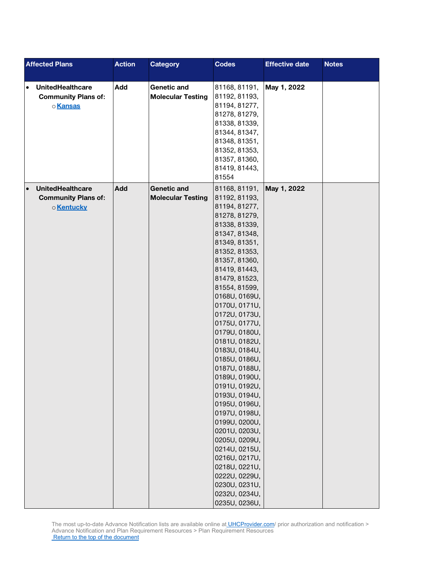| <b>Affected Plans</b>                | <b>Action</b> | <b>Category</b>          | <b>Codes</b>  | <b>Effective date</b> | <b>Notes</b> |
|--------------------------------------|---------------|--------------------------|---------------|-----------------------|--------------|
|                                      |               |                          |               |                       |              |
| <b>UnitedHealthcare</b><br>$\bullet$ | Add           | Genetic and              | 81168, 81191, | May 1, 2022           |              |
| <b>Community Plans of:</b>           |               | <b>Molecular Testing</b> | 81192, 81193, |                       |              |
| o Kansas                             |               |                          | 81194, 81277, |                       |              |
|                                      |               |                          | 81278, 81279, |                       |              |
|                                      |               |                          | 81338, 81339, |                       |              |
|                                      |               |                          | 81344, 81347, |                       |              |
|                                      |               |                          | 81348, 81351, |                       |              |
|                                      |               |                          | 81352, 81353, |                       |              |
|                                      |               |                          | 81357, 81360, |                       |              |
|                                      |               |                          | 81419, 81443, |                       |              |
|                                      |               |                          | 81554         |                       |              |
| <b>UnitedHealthcare</b><br>$\bullet$ | <b>Add</b>    | <b>Genetic and</b>       | 81168, 81191, | May 1, 2022           |              |
| <b>Community Plans of:</b>           |               | <b>Molecular Testing</b> | 81192, 81193, |                       |              |
| o Kentucky                           |               |                          | 81194, 81277, |                       |              |
|                                      |               |                          | 81278, 81279, |                       |              |
|                                      |               |                          | 81338, 81339, |                       |              |
|                                      |               |                          | 81347, 81348, |                       |              |
|                                      |               |                          | 81349, 81351, |                       |              |
|                                      |               |                          | 81352, 81353, |                       |              |
|                                      |               |                          | 81357, 81360, |                       |              |
|                                      |               |                          | 81419, 81443, |                       |              |
|                                      |               |                          | 81479, 81523, |                       |              |
|                                      |               |                          | 81554, 81599, |                       |              |
|                                      |               |                          | 0168U, 0169U, |                       |              |
|                                      |               |                          | 0170U, 0171U, |                       |              |
|                                      |               |                          | 0172U, 0173U, |                       |              |
|                                      |               |                          | 0175U, 0177U, |                       |              |
|                                      |               |                          | 0179U, 0180U, |                       |              |
|                                      |               |                          | 0181U, 0182U, |                       |              |
|                                      |               |                          | 0183U, 0184U, |                       |              |
|                                      |               |                          | 0185U, 0186U, |                       |              |
|                                      |               |                          | 0187U, 0188U, |                       |              |
|                                      |               |                          | 0189U, 0190U, |                       |              |
|                                      |               |                          | 0191U, 0192U, |                       |              |
|                                      |               |                          | 0193U, 0194U, |                       |              |
|                                      |               |                          | 0195U, 0196U, |                       |              |
|                                      |               |                          | 0197U, 0198U, |                       |              |
|                                      |               |                          | 0199U, 0200U, |                       |              |
|                                      |               |                          | 0201U, 0203U, |                       |              |
|                                      |               |                          | 0205U, 0209U, |                       |              |
|                                      |               |                          | 0214U, 0215U, |                       |              |
|                                      |               |                          | 0216U, 0217U, |                       |              |
|                                      |               |                          | 0218U, 0221U, |                       |              |
|                                      |               |                          | 0222U, 0229U, |                       |              |
|                                      |               |                          | 0230U, 0231U, |                       |              |
|                                      |               |                          | 0232U, 0234U, |                       |              |
|                                      |               |                          | 0235U, 0236U, |                       |              |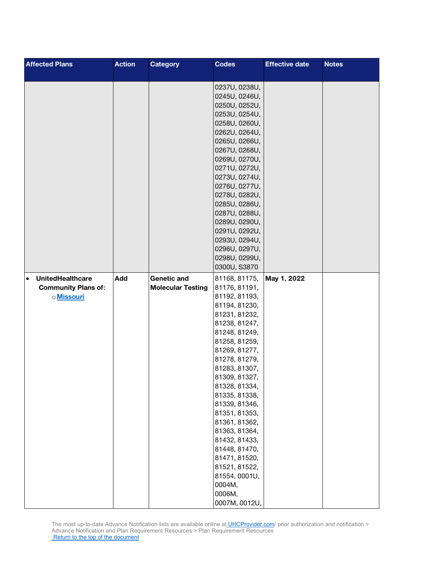| <b>Affected Plans</b>                | <b>Action</b> | <b>Category</b>          | <b>Codes</b>                   | <b>Effective date</b> | <b>Notes</b> |
|--------------------------------------|---------------|--------------------------|--------------------------------|-----------------------|--------------|
|                                      |               |                          |                                |                       |              |
|                                      |               |                          | 0237U, 0238U,                  |                       |              |
|                                      |               |                          | 0245U, 0246U,                  |                       |              |
|                                      |               |                          | 0250U, 0252U,                  |                       |              |
|                                      |               |                          | 0253U, 0254U,                  |                       |              |
|                                      |               |                          | 0258U, 0260U,                  |                       |              |
|                                      |               |                          | 0262U, 0264U,                  |                       |              |
|                                      |               |                          | 0265U, 0266U,                  |                       |              |
|                                      |               |                          | 0267U, 0268U,                  |                       |              |
|                                      |               |                          | 0269U, 0270U,                  |                       |              |
|                                      |               |                          | 0271U, 0272U,                  |                       |              |
|                                      |               |                          | 0273U, 0274U,                  |                       |              |
|                                      |               |                          | 0276U, 0277U,                  |                       |              |
|                                      |               |                          | 0278U, 0282U,                  |                       |              |
|                                      |               |                          | 0285U, 0286U,                  |                       |              |
|                                      |               |                          | 0287U, 0288U,                  |                       |              |
|                                      |               |                          | 0289U, 0290U,                  |                       |              |
|                                      |               |                          | 0291U, 0292U,                  |                       |              |
|                                      |               |                          | 0293U, 0294U,<br>0296U, 0297U, |                       |              |
|                                      |               |                          |                                |                       |              |
|                                      |               |                          | 0298U, 0299U,                  |                       |              |
|                                      |               |                          | 0300U, S3870                   |                       |              |
| <b>UnitedHealthcare</b><br>$\bullet$ | Add           | <b>Genetic and</b>       | 81168, 81175,                  | May 1, 2022           |              |
| <b>Community Plans of:</b>           |               | <b>Molecular Testing</b> | 81176, 81191,                  |                       |              |
| o Missouri                           |               |                          | 81192, 81193,                  |                       |              |
|                                      |               |                          | 81194, 81230,                  |                       |              |
|                                      |               |                          | 81231, 81232,                  |                       |              |
|                                      |               |                          | 81238, 81247,                  |                       |              |
|                                      |               |                          | 81248, 81249,                  |                       |              |
|                                      |               |                          | 81258, 81259,                  |                       |              |
|                                      |               |                          | 81269, 81277,                  |                       |              |
|                                      |               |                          | 81278, 81279,                  |                       |              |
|                                      |               |                          | 81283, 81307,                  |                       |              |
|                                      |               |                          | 81309, 81327,                  |                       |              |
|                                      |               |                          | 81328, 81334,                  |                       |              |
|                                      |               |                          | 81335, 81338,                  |                       |              |
|                                      |               |                          | 81339, 81346,                  |                       |              |
|                                      |               |                          | 81351, 81353,                  |                       |              |
|                                      |               |                          | 81361, 81362,                  |                       |              |
|                                      |               |                          | 81363, 81364,                  |                       |              |
|                                      |               |                          | 81432, 81433,                  |                       |              |
|                                      |               |                          | 81448, 81470,<br>81471, 81520, |                       |              |
|                                      |               |                          | 81521, 81522,                  |                       |              |
|                                      |               |                          | 81554, 0001U,                  |                       |              |
|                                      |               |                          | 0004M,                         |                       |              |
|                                      |               |                          |                                |                       |              |
|                                      |               |                          |                                |                       |              |
|                                      |               |                          | 0006M,<br>0007M, 0012U,        |                       |              |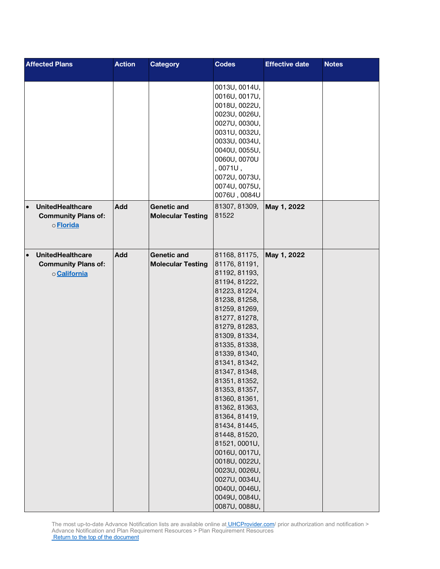| <b>Affected Plans</b>                                                              | <b>Action</b> | <b>Category</b>                                | <b>Codes</b>                                                                                                                                                                                                                                                                                                                                                                                                                                                                                              | <b>Effective date</b> | <b>Notes</b> |
|------------------------------------------------------------------------------------|---------------|------------------------------------------------|-----------------------------------------------------------------------------------------------------------------------------------------------------------------------------------------------------------------------------------------------------------------------------------------------------------------------------------------------------------------------------------------------------------------------------------------------------------------------------------------------------------|-----------------------|--------------|
|                                                                                    |               |                                                | 0013U, 0014U,<br>0016U, 0017U,<br>0018U, 0022U,<br>0023U, 0026U,<br>0027U, 0030U,<br>0031U, 0032U,<br>0033U, 0034U,<br>0040U, 0055U,<br>0060U, 0070U<br>,0071U,<br>0072U, 0073U,<br>0074U, 0075U,<br>0076U, 0084U                                                                                                                                                                                                                                                                                         |                       |              |
| <b>UnitedHealthcare</b><br>$\bullet$<br><b>Community Plans of:</b><br>o Florida    | <b>Add</b>    | <b>Genetic and</b><br><b>Molecular Testing</b> | 81307, 81309,<br>81522                                                                                                                                                                                                                                                                                                                                                                                                                                                                                    | May 1, 2022           |              |
| <b>UnitedHealthcare</b><br>$\bullet$<br><b>Community Plans of:</b><br>o California | Add           | <b>Genetic and</b><br><b>Molecular Testing</b> | 81168, 81175,<br>81176, 81191,<br>81192, 81193,<br>81194, 81222,<br>81223, 81224,<br>81238, 81258,<br>81259, 81269,<br>81277, 81278,<br>81279, 81283,<br>81309, 81334,<br>81335, 81338,<br>81339, 81340,<br>81341, 81342,<br>81347, 81348,<br>81351, 81352,<br>81353, 81357,<br>81360, 81361,<br>81362, 81363,<br>81364, 81419,<br>81434, 81445,<br>81448, 81520,<br>81521, 0001U,<br>0016U, 0017U,<br>0018U, 0022U,<br>0023U, 0026U,<br>0027U, 0034U,<br>0040U, 0046U,<br>0049U, 0084U,<br>0087U, 0088U, | May 1, 2022           |              |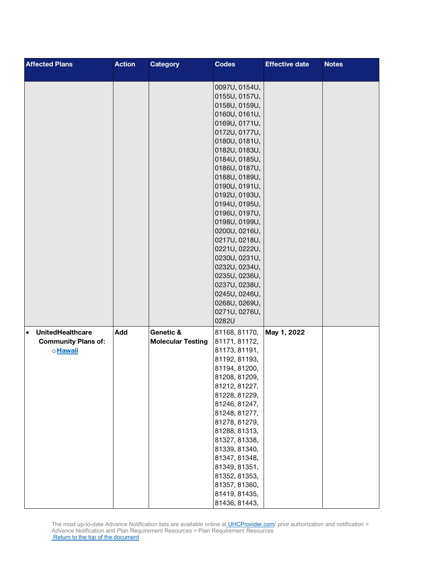| <b>Affected Plans</b>                | <b>Action</b> | <b>Category</b>          | <b>Codes</b>                   | <b>Effective date</b> | <b>Notes</b> |
|--------------------------------------|---------------|--------------------------|--------------------------------|-----------------------|--------------|
|                                      |               |                          |                                |                       |              |
|                                      |               |                          | 0097U, 0154U,                  |                       |              |
|                                      |               |                          | 0155U, 0157U,<br>0158U, 0159U, |                       |              |
|                                      |               |                          | 0160U, 0161U,                  |                       |              |
|                                      |               |                          | 0169U, 0171U,                  |                       |              |
|                                      |               |                          | 0172U, 0177U,                  |                       |              |
|                                      |               |                          | 0180U, 0181U,                  |                       |              |
|                                      |               |                          | 0182U, 0183U,                  |                       |              |
|                                      |               |                          | 0184U, 0185U,                  |                       |              |
|                                      |               |                          | 0186U, 0187U,                  |                       |              |
|                                      |               |                          | 0188U, 0189U,                  |                       |              |
|                                      |               |                          | 0190U, 0191U,                  |                       |              |
|                                      |               |                          | 0192U, 0193U,                  |                       |              |
|                                      |               |                          | 0194U, 0195U,                  |                       |              |
|                                      |               |                          | 0196U, 0197U,                  |                       |              |
|                                      |               |                          | 0198U, 0199U,<br>0200U, 0216U, |                       |              |
|                                      |               |                          | 0217U, 0218U,                  |                       |              |
|                                      |               |                          | 0221U, 0222U,                  |                       |              |
|                                      |               |                          | 0230U, 0231U,                  |                       |              |
|                                      |               |                          | 0232U, 0234U,                  |                       |              |
|                                      |               |                          | 0235U, 0236U,                  |                       |              |
|                                      |               |                          | 0237U, 0238U,                  |                       |              |
|                                      |               |                          | 0245U, 0246U,                  |                       |              |
|                                      |               |                          | 0268U, 0269U,                  |                       |              |
|                                      |               |                          | 0271U, 0276U,                  |                       |              |
|                                      |               |                          | 0282U                          |                       |              |
| <b>UnitedHealthcare</b><br>$\bullet$ | Add           | Genetic &                | 81168, 81170,                  | May 1, 2022           |              |
| <b>Community Plans of:</b>           |               | <b>Molecular Testing</b> | 81171, 81172,                  |                       |              |
| o Hawaii                             |               |                          | 81173, 81191,<br>81192, 81193, |                       |              |
|                                      |               |                          | 81194, 81200,                  |                       |              |
|                                      |               |                          | 81208, 81209,                  |                       |              |
|                                      |               |                          | 81212, 81227,                  |                       |              |
|                                      |               |                          | 81228, 81229,                  |                       |              |
|                                      |               |                          | 81246, 81247,                  |                       |              |
|                                      |               |                          | 81248, 81277,                  |                       |              |
|                                      |               |                          | 81278, 81279,                  |                       |              |
|                                      |               |                          | 81288, 81313,                  |                       |              |
|                                      |               |                          | 81327, 81338,                  |                       |              |
|                                      |               |                          | 81339, 81340,                  |                       |              |
|                                      |               |                          | 81347, 81348,<br>81349, 81351, |                       |              |
|                                      |               |                          | 81352, 81353,                  |                       |              |
|                                      |               |                          | 81357, 81360,                  |                       |              |
|                                      |               |                          | 81419, 81435,                  |                       |              |
|                                      |               |                          | 81436, 81443,                  |                       |              |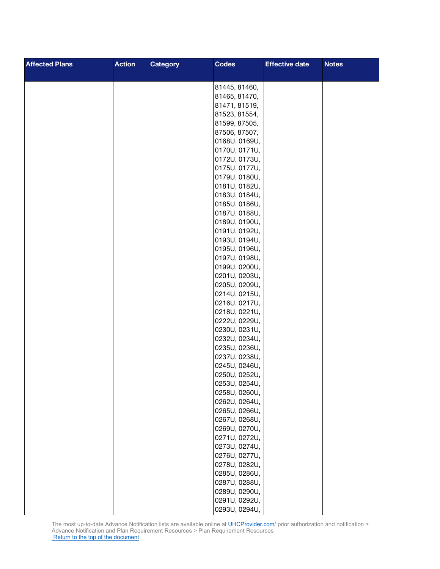| <b>Affected Plans</b> | <b>Action</b> | <b>Category</b> | <b>Codes</b>                   | <b>Effective date</b> | <b>Notes</b> |
|-----------------------|---------------|-----------------|--------------------------------|-----------------------|--------------|
|                       |               |                 |                                |                       |              |
|                       |               |                 | 81445, 81460,                  |                       |              |
|                       |               |                 | 81465, 81470,                  |                       |              |
|                       |               |                 | 81471, 81519,                  |                       |              |
|                       |               |                 | 81523, 81554,                  |                       |              |
|                       |               |                 | 81599, 87505,                  |                       |              |
|                       |               |                 | 87506, 87507,                  |                       |              |
|                       |               |                 | 0168U, 0169U,                  |                       |              |
|                       |               |                 | 0170U, 0171U,                  |                       |              |
|                       |               |                 | 0172U, 0173U,                  |                       |              |
|                       |               |                 | 0175U, 0177U,                  |                       |              |
|                       |               |                 | 0179U, 0180U,                  |                       |              |
|                       |               |                 | 0181U, 0182U,                  |                       |              |
|                       |               |                 | 0183U, 0184U,                  |                       |              |
|                       |               |                 | 0185U, 0186U,                  |                       |              |
|                       |               |                 | 0187U, 0188U,                  |                       |              |
|                       |               |                 | 0189U, 0190U,                  |                       |              |
|                       |               |                 | 0191U, 0192U,                  |                       |              |
|                       |               |                 | 0193U, 0194U,                  |                       |              |
|                       |               |                 | 0195U, 0196U,                  |                       |              |
|                       |               |                 | 0197U, 0198U,                  |                       |              |
|                       |               |                 | 0199U, 0200U,                  |                       |              |
|                       |               |                 | 0201U, 0203U,                  |                       |              |
|                       |               |                 | 0205U, 0209U,<br>0214U, 0215U, |                       |              |
|                       |               |                 | 0216U, 0217U,                  |                       |              |
|                       |               |                 | 0218U, 0221U,                  |                       |              |
|                       |               |                 | 0222U, 0229U,                  |                       |              |
|                       |               |                 | 0230U, 0231U,                  |                       |              |
|                       |               |                 | 0232U, 0234U,                  |                       |              |
|                       |               |                 | 0235U, 0236U,                  |                       |              |
|                       |               |                 | 0237U, 0238U,                  |                       |              |
|                       |               |                 | 0245U, 0246U,                  |                       |              |
|                       |               |                 | 0250U, 0252U,                  |                       |              |
|                       |               |                 | 0253U, 0254U,                  |                       |              |
|                       |               |                 | 0258U, 0260U,                  |                       |              |
|                       |               |                 | 0262U, 0264U,                  |                       |              |
|                       |               |                 | 0265U, 0266U,                  |                       |              |
|                       |               |                 | 0267U, 0268U,                  |                       |              |
|                       |               |                 | 0269U, 0270U,                  |                       |              |
|                       |               |                 | 0271U, 0272U,                  |                       |              |
|                       |               |                 | 0273U, 0274U,                  |                       |              |
|                       |               |                 | 0276U, 0277U,                  |                       |              |
|                       |               |                 | 0278U, 0282U,                  |                       |              |
|                       |               |                 | 0285U, 0286U,                  |                       |              |
|                       |               |                 | 0287U, 0288U,                  |                       |              |
|                       |               |                 | 0289U, 0290U,                  |                       |              |
|                       |               |                 | 0291U, 0292U,                  |                       |              |
|                       |               |                 | 0293U, 0294U,                  |                       |              |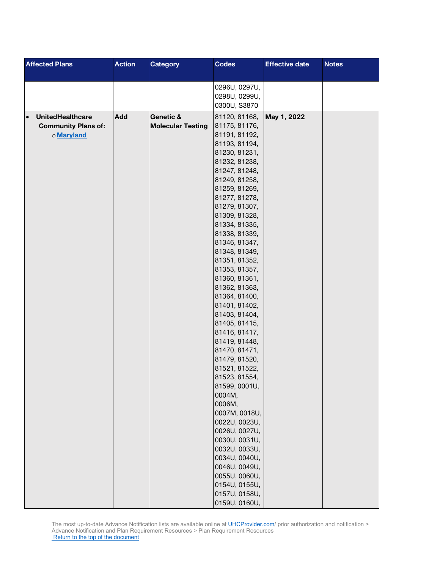| <b>Affected Plans</b><br><b>Action</b>      | <b>Category</b>          | <b>Codes</b>                   | <b>Effective date</b> | <b>Notes</b> |
|---------------------------------------------|--------------------------|--------------------------------|-----------------------|--------------|
|                                             |                          |                                |                       |              |
|                                             |                          | 0296U, 0297U,                  |                       |              |
|                                             |                          | 0298U, 0299U,                  |                       |              |
|                                             |                          | 0300U, S3870                   |                       |              |
| Add<br><b>UnitedHealthcare</b><br>$\bullet$ | Genetic &                | 81120, 81168,                  | May 1, 2022           |              |
| <b>Community Plans of:</b>                  | <b>Molecular Testing</b> | 81175, 81176,                  |                       |              |
| o Maryland                                  |                          | 81191, 81192,                  |                       |              |
|                                             |                          | 81193, 81194,                  |                       |              |
|                                             |                          | 81230, 81231,                  |                       |              |
|                                             |                          | 81232, 81238,                  |                       |              |
|                                             |                          | 81247, 81248,                  |                       |              |
|                                             |                          | 81249, 81258,                  |                       |              |
|                                             |                          | 81259, 81269,                  |                       |              |
|                                             |                          | 81277, 81278,                  |                       |              |
|                                             |                          | 81279, 81307,                  |                       |              |
|                                             |                          | 81309, 81328,                  |                       |              |
|                                             |                          | 81334, 81335,                  |                       |              |
|                                             |                          | 81338, 81339,                  |                       |              |
|                                             |                          | 81346, 81347,                  |                       |              |
|                                             |                          | 81348, 81349,                  |                       |              |
|                                             |                          | 81351, 81352,                  |                       |              |
|                                             |                          | 81353, 81357,                  |                       |              |
|                                             |                          | 81360, 81361,                  |                       |              |
|                                             |                          | 81362, 81363,                  |                       |              |
|                                             |                          | 81364, 81400,<br>81401, 81402, |                       |              |
|                                             |                          | 81403, 81404,                  |                       |              |
|                                             |                          | 81405, 81415,                  |                       |              |
|                                             |                          | 81416, 81417,                  |                       |              |
|                                             |                          | 81419, 81448,                  |                       |              |
|                                             |                          | 81470, 81471,                  |                       |              |
|                                             |                          | 81479, 81520,                  |                       |              |
|                                             |                          | 81521, 81522,                  |                       |              |
|                                             |                          | 81523, 81554,                  |                       |              |
|                                             |                          | 81599, 0001U,                  |                       |              |
|                                             |                          | 0004M,                         |                       |              |
|                                             |                          | 0006M,                         |                       |              |
|                                             |                          | 0007M, 0018U,                  |                       |              |
|                                             |                          | 0022U, 0023U,                  |                       |              |
|                                             |                          | 0026U, 0027U,                  |                       |              |
|                                             |                          | 0030U, 0031U,                  |                       |              |
|                                             |                          | 0032U, 0033U,                  |                       |              |
|                                             |                          | 0034U, 0040U,                  |                       |              |
|                                             |                          | 0046U, 0049U,                  |                       |              |
|                                             |                          | 0055U, 0060U,                  |                       |              |
|                                             |                          | 0154U, 0155U,                  |                       |              |
|                                             |                          | 0157U, 0158U,                  |                       |              |
|                                             |                          | 0159U, 0160U,                  |                       |              |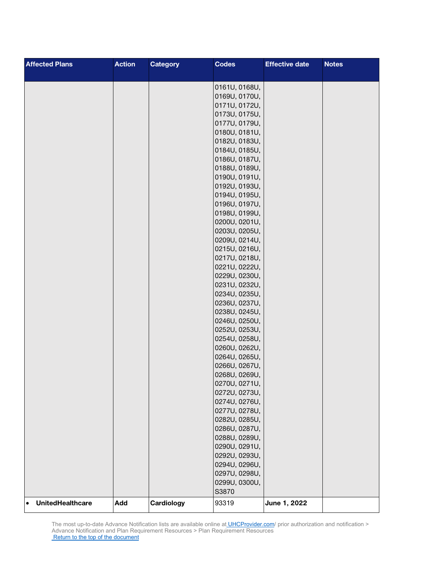| <b>Affected Plans</b>                | <b>Action</b> | <b>Category</b> | <b>Codes</b>                   | <b>Effective date</b> | <b>Notes</b> |
|--------------------------------------|---------------|-----------------|--------------------------------|-----------------------|--------------|
|                                      |               |                 |                                |                       |              |
|                                      |               |                 | 0161U, 0168U,                  |                       |              |
|                                      |               |                 | 0169U, 0170U,                  |                       |              |
|                                      |               |                 | 0171U, 0172U,                  |                       |              |
|                                      |               |                 | 0173U, 0175U,                  |                       |              |
|                                      |               |                 | 0177U, 0179U,                  |                       |              |
|                                      |               |                 | 0180U, 0181U,                  |                       |              |
|                                      |               |                 | 0182U, 0183U,                  |                       |              |
|                                      |               |                 | 0184U, 0185U,                  |                       |              |
|                                      |               |                 | 0186U, 0187U,                  |                       |              |
|                                      |               |                 | 0188U, 0189U,                  |                       |              |
|                                      |               |                 | 0190U, 0191U,                  |                       |              |
|                                      |               |                 | 0192U, 0193U,                  |                       |              |
|                                      |               |                 | 0194U, 0195U,                  |                       |              |
|                                      |               |                 | 0196U, 0197U,                  |                       |              |
|                                      |               |                 | 0198U, 0199U,                  |                       |              |
|                                      |               |                 | 0200U, 0201U,                  |                       |              |
|                                      |               |                 | 0203U, 0205U,                  |                       |              |
|                                      |               |                 | 0209U, 0214U,                  |                       |              |
|                                      |               |                 | 0215U, 0216U,                  |                       |              |
|                                      |               |                 | 0217U, 0218U,                  |                       |              |
|                                      |               |                 | 0221U, 0222U,<br>0229U, 0230U, |                       |              |
|                                      |               |                 | 0231U, 0232U,                  |                       |              |
|                                      |               |                 | 0234U, 0235U,                  |                       |              |
|                                      |               |                 | 0236U, 0237U,                  |                       |              |
|                                      |               |                 | 0238U, 0245U,                  |                       |              |
|                                      |               |                 | 0246U, 0250U,                  |                       |              |
|                                      |               |                 | 0252U, 0253U,                  |                       |              |
|                                      |               |                 | 0254U, 0258U,                  |                       |              |
|                                      |               |                 | 0260U, 0262U,                  |                       |              |
|                                      |               |                 | 0264U, 0265U,                  |                       |              |
|                                      |               |                 | 0266U, 0267U,                  |                       |              |
|                                      |               |                 | 0268U, 0269U,                  |                       |              |
|                                      |               |                 | 0270U, 0271U,                  |                       |              |
|                                      |               |                 | 0272U, 0273U,                  |                       |              |
|                                      |               |                 | 0274U, 0276U,                  |                       |              |
|                                      |               |                 | 0277U, 0278U,                  |                       |              |
|                                      |               |                 | 0282U, 0285U,                  |                       |              |
|                                      |               |                 | 0286U, 0287U,                  |                       |              |
|                                      |               |                 | 0288U, 0289U,                  |                       |              |
|                                      |               |                 | 0290U, 0291U,                  |                       |              |
|                                      |               |                 | 0292U, 0293U,                  |                       |              |
|                                      |               |                 | 0294U, 0296U,                  |                       |              |
|                                      |               |                 | 0297U, 0298U,                  |                       |              |
|                                      |               |                 | 0299U, 0300U,                  |                       |              |
|                                      |               |                 | S3870                          |                       |              |
| <b>UnitedHealthcare</b><br>$\bullet$ | Add           | Cardiology      | 93319                          | June 1, 2022          |              |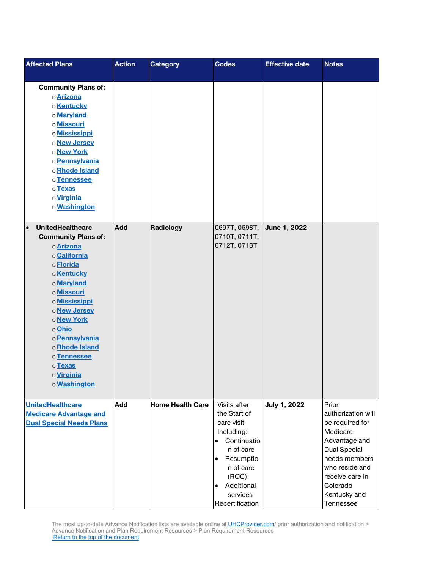| <b>Affected Plans</b>                                                                                                                                                                                                                                                                                                    | <b>Action</b> | <b>Category</b>         | <b>Codes</b>                                                                                                                                                                                                | <b>Effective date</b> | <b>Notes</b>                                                                                                                                                                                      |
|--------------------------------------------------------------------------------------------------------------------------------------------------------------------------------------------------------------------------------------------------------------------------------------------------------------------------|---------------|-------------------------|-------------------------------------------------------------------------------------------------------------------------------------------------------------------------------------------------------------|-----------------------|---------------------------------------------------------------------------------------------------------------------------------------------------------------------------------------------------|
| <b>Community Plans of:</b><br>o Arizona<br>o Kentucky<br>o Maryland<br>o Missouri<br>o <b>Mississippi</b><br>o New Jersey<br>o New York<br>o Pennsylvania<br>oRhode Island<br>o Tennessee<br>o Texas<br>o Virginia<br>o Washington                                                                                       |               |                         |                                                                                                                                                                                                             |                       |                                                                                                                                                                                                   |
| <b>UnitedHealthcare</b><br>$\bullet$<br><b>Community Plans of:</b><br>o Arizona<br>o California<br>o <b>Florida</b><br>o Kentucky<br>o Maryland<br>o Missouri<br>o <b>Mississippi</b><br>o New Jersey<br>o New York<br>o Ohio<br>o Pennsylvania<br>oRhode Island<br>o Tennessee<br>o Texas<br>o Virginia<br>o Washington | <b>Add</b>    | Radiology               | 0697T, 0698T,<br>0710T, 0711T,<br>0712T, 0713T                                                                                                                                                              | June 1, 2022          |                                                                                                                                                                                                   |
| <b>UnitedHealthcare</b><br><b>Medicare Advantage and</b><br><b>Dual Special Needs Plans</b>                                                                                                                                                                                                                              | Add           | <b>Home Health Care</b> | Visits after<br>the Start of<br>care visit<br>Including:<br>Continuatio<br>$\bullet$<br>n of care<br>Resumptio<br>$\bullet$<br>n of care<br>(ROC)<br>Additional<br>$\bullet$<br>services<br>Recertification | <b>July 1, 2022</b>   | Prior<br>authorization will<br>be required for<br>Medicare<br>Advantage and<br><b>Dual Special</b><br>needs members<br>who reside and<br>receive care in<br>Colorado<br>Kentucky and<br>Tennessee |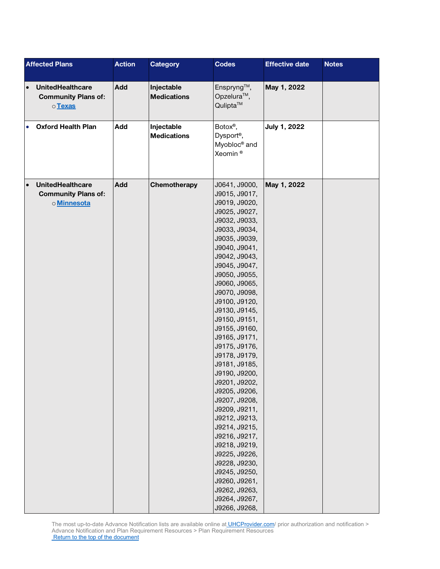|           | <b>Affected Plans</b>                                                | <b>Action</b> | <b>Category</b>                  | <b>Codes</b>                                                                                                                                                                                                                                                                                                                                                                                                                                                                                                                                                                                                                                      | <b>Effective date</b> | <b>Notes</b> |
|-----------|----------------------------------------------------------------------|---------------|----------------------------------|---------------------------------------------------------------------------------------------------------------------------------------------------------------------------------------------------------------------------------------------------------------------------------------------------------------------------------------------------------------------------------------------------------------------------------------------------------------------------------------------------------------------------------------------------------------------------------------------------------------------------------------------------|-----------------------|--------------|
| $\bullet$ | <b>UnitedHealthcare</b><br><b>Community Plans of:</b><br>o Texas     | Add           | Injectable<br><b>Medications</b> | Enspryng™,<br>Opzelura <sup>™</sup> ,<br>Qulipta™                                                                                                                                                                                                                                                                                                                                                                                                                                                                                                                                                                                                 | May 1, 2022           |              |
| $\bullet$ | <b>Oxford Health Plan</b>                                            | Add           | Injectable<br><b>Medications</b> | Botox®,<br>Dysport <sup>®</sup> ,<br>Myobloc <sup>®</sup> and<br>Xeomin <sup>®</sup>                                                                                                                                                                                                                                                                                                                                                                                                                                                                                                                                                              | July 1, 2022          |              |
| $\bullet$ | <b>UnitedHealthcare</b><br><b>Community Plans of:</b><br>o Minnesota | Add           | Chemotherapy                     | J0641, J9000,<br>J9015, J9017,<br>J9019, J9020,<br>J9025, J9027,<br>J9032, J9033,<br>J9033, J9034,<br>J9035, J9039,<br>J9040, J9041,<br>J9042, J9043,<br>J9045, J9047,<br>J9050, J9055,<br>J9060, J9065,<br>J9070, J9098,<br>J9100, J9120,<br>J9130, J9145,<br>J9150, J9151,<br>J9155, J9160,<br>J9165, J9171,<br>J9175, J9176,<br>J9178, J9179,<br>J9181, J9185,<br>J9190, J9200,<br>J9201, J9202,<br>J9205, J9206,<br>J9207, J9208,<br>J9209, J9211,<br>J9212, J9213,<br>J9214, J9215,<br>J9216, J9217,<br>J9218, J9219,<br>J9225, J9226,<br>J9228, J9230,<br>J9245, J9250,<br>J9260, J9261,<br>J9262, J9263,<br>J9264, J9267,<br>J9266, J9268, | May 1, 2022           |              |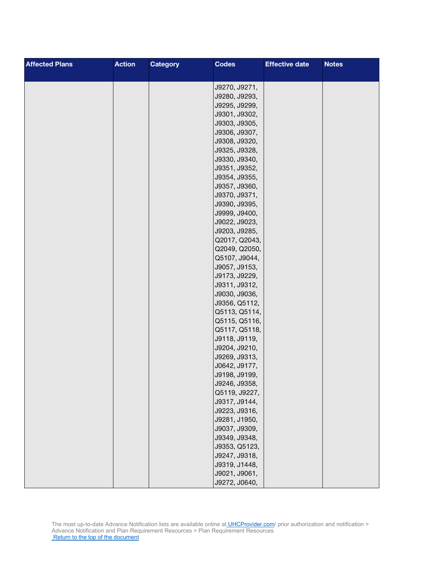| <b>Action</b><br><b>Affected Plans</b> | <b>Category</b> | <b>Codes</b>                   | <b>Effective date</b> | <b>Notes</b> |
|----------------------------------------|-----------------|--------------------------------|-----------------------|--------------|
|                                        |                 |                                |                       |              |
|                                        |                 | J9270, J9271,                  |                       |              |
|                                        |                 | J9280, J9293,                  |                       |              |
|                                        |                 | J9295, J9299,                  |                       |              |
|                                        |                 | J9301, J9302,                  |                       |              |
|                                        |                 | J9303, J9305,                  |                       |              |
|                                        |                 | J9306, J9307,                  |                       |              |
|                                        |                 | J9308, J9320,                  |                       |              |
|                                        |                 | J9325, J9328,                  |                       |              |
|                                        |                 | J9330, J9340,                  |                       |              |
|                                        |                 | J9351, J9352,                  |                       |              |
|                                        |                 | J9354, J9355,                  |                       |              |
|                                        |                 | J9357, J9360,                  |                       |              |
|                                        |                 | J9370, J9371,                  |                       |              |
|                                        |                 | J9390, J9395,                  |                       |              |
|                                        |                 | J9999, J9400,                  |                       |              |
|                                        |                 | J9022, J9023,                  |                       |              |
|                                        |                 | J9203, J9285,                  |                       |              |
|                                        |                 | Q2017, Q2043,                  |                       |              |
|                                        |                 | Q2049, Q2050,                  |                       |              |
|                                        |                 | Q5107, J9044,                  |                       |              |
|                                        |                 | J9057, J9153,                  |                       |              |
|                                        |                 | J9173, J9229,                  |                       |              |
|                                        |                 | J9311, J9312,                  |                       |              |
|                                        |                 | J9030, J9036,                  |                       |              |
|                                        |                 | J9356, Q5112,                  |                       |              |
|                                        |                 | Q5113, Q5114,                  |                       |              |
|                                        |                 | Q5115, Q5116,                  |                       |              |
|                                        |                 | Q5117, Q5118,                  |                       |              |
|                                        |                 | J9118, J9119,                  |                       |              |
|                                        |                 | J9204, J9210,<br>J9269, J9313, |                       |              |
|                                        |                 | J0642, J9177,                  |                       |              |
|                                        |                 | J9198, J9199,                  |                       |              |
|                                        |                 | J9246, J9358,                  |                       |              |
|                                        |                 | Q5119, J9227,                  |                       |              |
|                                        |                 | J9317, J9144,                  |                       |              |
|                                        |                 | J9223, J9316,                  |                       |              |
|                                        |                 | J9281, J1950,                  |                       |              |
|                                        |                 | J9037, J9309,                  |                       |              |
|                                        |                 | J9349, J9348,                  |                       |              |
|                                        |                 | J9353, Q5123,                  |                       |              |
|                                        |                 | J9247, J9318,                  |                       |              |
|                                        |                 | J9319, J1448,                  |                       |              |
|                                        |                 | J9021, J9061,                  |                       |              |
|                                        |                 | J9272, J0640,                  |                       |              |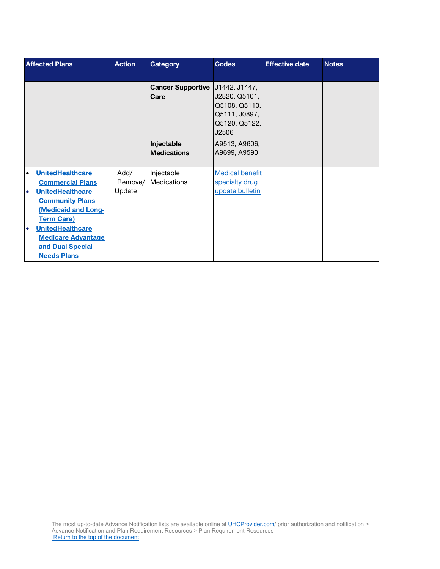|           | <b>Affected Plans</b>                                                                          | <b>Action</b> | <b>Category</b>                           | <b>Codes</b>                                                     | <b>Effective date</b> | <b>Notes</b> |
|-----------|------------------------------------------------------------------------------------------------|---------------|-------------------------------------------|------------------------------------------------------------------|-----------------------|--------------|
|           |                                                                                                |               |                                           |                                                                  |                       |              |
|           |                                                                                                |               | Cancer Supportive   J1442, J1447,<br>Care | J2820, Q5101,<br>Q5108, Q5110,<br>Q5111, J0897,<br>Q5120, Q5122, |                       |              |
|           |                                                                                                |               |                                           | J2506                                                            |                       |              |
|           |                                                                                                |               | Injectable<br><b>Medications</b>          | A9513, A9606,<br>A9699, A9590                                    |                       |              |
| $\bullet$ | <b>UnitedHealthcare</b>                                                                        | Add/          | Injectable                                | <b>Medical benefit</b>                                           |                       |              |
|           | <b>Commercial Plans</b>                                                                        | Remove/       | Medications                               | specialty drug                                                   |                       |              |
|           | <b>UnitedHealthcare</b>                                                                        | Update        |                                           | update bulletin                                                  |                       |              |
|           | <b>Community Plans</b><br><b>(Medicaid and Long-</b><br><b>Term Care)</b>                      |               |                                           |                                                                  |                       |              |
| $\bullet$ | <b>UnitedHealthcare</b><br><b>Medicare Advantage</b><br>and Dual Special<br><b>Needs Plans</b> |               |                                           |                                                                  |                       |              |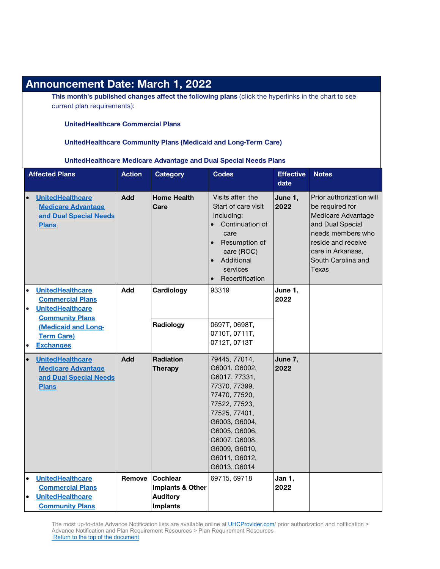| <b>Announcement Date: March 1, 2022</b>                                                                                                                                                                        |               |                                                                           |                                                                                                                                                                                                                          |                          |                                                                                                                                                                                      |
|----------------------------------------------------------------------------------------------------------------------------------------------------------------------------------------------------------------|---------------|---------------------------------------------------------------------------|--------------------------------------------------------------------------------------------------------------------------------------------------------------------------------------------------------------------------|--------------------------|--------------------------------------------------------------------------------------------------------------------------------------------------------------------------------------|
| This month's published changes affect the following plans (click the hyperlinks in the chart to see<br>current plan requirements):                                                                             |               |                                                                           |                                                                                                                                                                                                                          |                          |                                                                                                                                                                                      |
| <b>UnitedHealthcare Commercial Plans</b>                                                                                                                                                                       |               |                                                                           |                                                                                                                                                                                                                          |                          |                                                                                                                                                                                      |
|                                                                                                                                                                                                                |               |                                                                           | <b>UnitedHealthcare Community Plans (Medicaid and Long-Term Care)</b>                                                                                                                                                    |                          |                                                                                                                                                                                      |
|                                                                                                                                                                                                                |               |                                                                           | UnitedHealthcare Medicare Advantage and Dual Special Needs Plans                                                                                                                                                         |                          |                                                                                                                                                                                      |
| <b>Affected Plans</b>                                                                                                                                                                                          | <b>Action</b> | <b>Category</b>                                                           | <b>Codes</b>                                                                                                                                                                                                             | <b>Effective</b><br>date | <b>Notes</b>                                                                                                                                                                         |
| UnitedHealthcare<br>$\bullet$<br><b>Medicare Advantage</b><br>and Dual Special Needs<br><b>Plans</b>                                                                                                           | Add           | <b>Home Health</b><br>Care                                                | Visits after the<br>Start of care visit<br>Including:<br>Continuation of<br>care<br>Resumption of<br>care (ROC)<br>Additional<br>services<br>Recertification                                                             | June 1,<br>2022          | Prior authorization will<br>be required for<br>Medicare Advantage<br>and Dual Special<br>needs members who<br>reside and receive<br>care in Arkansas,<br>South Carolina and<br>Texas |
| <b>UnitedHealthcare</b><br>$\bullet$<br><b>Commercial Plans</b><br><b>UnitedHealthcare</b><br>$\bullet$<br><b>Community Plans</b><br>(Medicaid and Long-<br><b>Term Care)</b><br><b>Exchanges</b><br>$\bullet$ | Add           | Cardiology<br>Radiology                                                   | 93319<br>0697T, 0698T,<br>0710T, 0711T,<br>0712T, 0713T                                                                                                                                                                  | June 1,<br>2022          |                                                                                                                                                                                      |
| <b>UnitedHealthcare</b><br>$\bullet$<br><b>Medicare Advantage</b><br>and Dual Special Needs<br><b>Plans</b>                                                                                                    | <b>Add</b>    | Radiation<br>Therapy                                                      | 79445, 77014,<br>G6001, G6002,<br>G6017, 77331,<br>77370, 77399,<br>77470, 77520,<br>77522, 77523,<br>77525, 77401,<br>G6003, G6004,<br>G6005, G6006,<br>G6007, G6008,<br>G6009, G6010,<br>G6011, G6012,<br>G6013, G6014 | June 7,<br>2022          |                                                                                                                                                                                      |
| <b>UnitedHealthcare</b><br>$\bullet$<br><b>Commercial Plans</b><br><b>UnitedHealthcare</b><br>$\bullet$<br><b>Community Plans</b>                                                                              | Remove        | <b>Cochlear</b><br>Implants & Other<br><b>Auditory</b><br><b>Implants</b> | 69715, 69718                                                                                                                                                                                                             | Jan 1,<br>2022           |                                                                                                                                                                                      |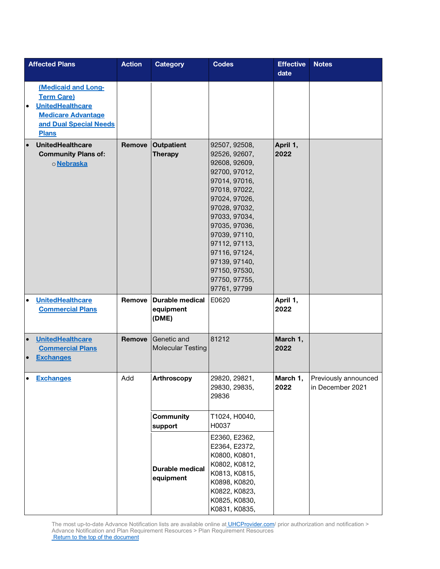|                        | <b>Affected Plans</b>                                                                                                                      | <b>Action</b> | <b>Category</b>                              | <b>Codes</b>                                                                                                                                                                                                                                                                                 | <b>Effective</b><br>date | <b>Notes</b>                             |
|------------------------|--------------------------------------------------------------------------------------------------------------------------------------------|---------------|----------------------------------------------|----------------------------------------------------------------------------------------------------------------------------------------------------------------------------------------------------------------------------------------------------------------------------------------------|--------------------------|------------------------------------------|
| $\bullet$              | (Medicaid and Long-<br><b>Term Care)</b><br><b>UnitedHealthcare</b><br><b>Medicare Advantage</b><br>and Dual Special Needs<br><b>Plans</b> |               |                                              |                                                                                                                                                                                                                                                                                              |                          |                                          |
| $\bullet$              | <b>UnitedHealthcare</b><br><b>Community Plans of:</b><br>o Nebraska                                                                        | Remove        | <b>Outpatient</b><br><b>Therapy</b>          | 92507, 92508,<br>92526, 92607,<br>92608, 92609,<br>92700, 97012,<br>97014, 97016,<br>97018, 97022,<br>97024, 97026,<br>97028, 97032,<br>97033, 97034,<br>97035, 97036,<br>97039, 97110,<br>97112, 97113,<br>97116, 97124,<br>97139, 97140,<br>97150, 97530,<br>97750, 97755,<br>97761, 97799 | April 1,<br>2022         |                                          |
| $\bullet$              | <b>UnitedHealthcare</b><br><b>Commercial Plans</b>                                                                                         | Remove        | <b>Durable medical</b><br>equipment<br>(DME) | E0620                                                                                                                                                                                                                                                                                        | April 1,<br>2022         |                                          |
| $\bullet$<br>$\bullet$ | <b>UnitedHealthcare</b><br><b>Commercial Plans</b><br><b>Exchanges</b>                                                                     | Remove        | Genetic and<br><b>Molecular Testing</b>      | 81212                                                                                                                                                                                                                                                                                        | March 1,<br>2022         |                                          |
| $\bullet$              | <b>Exchanges</b>                                                                                                                           | Add           | Arthroscopy                                  | 29820, 29821,<br>29830, 29835,<br>29836                                                                                                                                                                                                                                                      | March 1,<br>2022         | Previously announced<br>in December 2021 |
|                        |                                                                                                                                            |               | <b>Community</b><br>support                  | T1024, H0040,<br>H0037<br>E2360, E2362,<br>E2364, E2372,<br>K0800, K0801,                                                                                                                                                                                                                    |                          |                                          |
|                        |                                                                                                                                            |               | <b>Durable medical</b><br>equipment          | K0802, K0812,<br>K0813, K0815,<br>K0898, K0820,<br>K0822, K0823,<br>K0825, K0830,<br>K0831, K0835,                                                                                                                                                                                           |                          |                                          |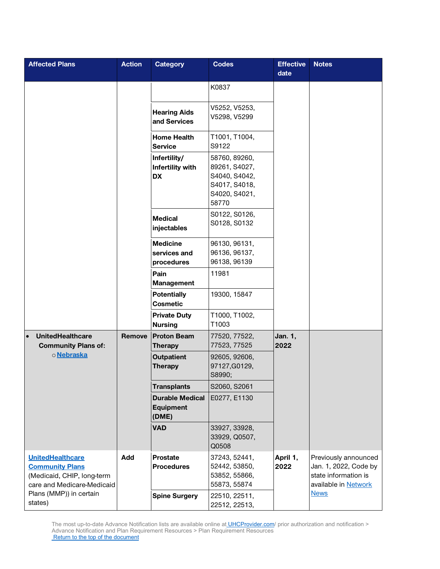| <b>Affected Plans</b>                                                                                         | <b>Action</b> | <b>Category</b>                                     | <b>Codes</b>                                                                               | <b>Effective</b><br>date | <b>Notes</b>                                                                                  |
|---------------------------------------------------------------------------------------------------------------|---------------|-----------------------------------------------------|--------------------------------------------------------------------------------------------|--------------------------|-----------------------------------------------------------------------------------------------|
|                                                                                                               |               | <b>Hearing Aids</b><br>and Services                 | K0837<br>V5252, V5253,<br>V5298, V5299                                                     |                          |                                                                                               |
|                                                                                                               |               | <b>Home Health</b><br><b>Service</b>                | T1001, T1004,<br>S9122                                                                     |                          |                                                                                               |
|                                                                                                               |               | Infertility/<br>Infertility with<br>DX              | 58760, 89260,<br>89261, S4027,<br>S4040, S4042,<br>S4017, S4018,<br>S4020, S4021,<br>58770 |                          |                                                                                               |
|                                                                                                               |               | <b>Medical</b><br>injectables                       | S0122, S0126,<br>S0128, S0132                                                              |                          |                                                                                               |
|                                                                                                               |               | <b>Medicine</b><br>services and<br>procedures       | 96130, 96131,<br>96136, 96137,<br>96138, 96139                                             |                          |                                                                                               |
|                                                                                                               |               | Pain<br><b>Management</b>                           | 11981                                                                                      |                          |                                                                                               |
|                                                                                                               |               | <b>Potentially</b><br><b>Cosmetic</b>               | 19300, 15847                                                                               |                          |                                                                                               |
|                                                                                                               |               | <b>Private Duty</b><br><b>Nursing</b>               | T1000, T1002,<br>T1003                                                                     |                          |                                                                                               |
| <b>UnitedHealthcare</b><br>$\bullet$<br><b>Community Plans of:</b>                                            | Remove        | <b>Proton Beam</b><br><b>Therapy</b>                | 77520, 77522,<br>77523, 77525                                                              | Jan. 1,<br>2022          |                                                                                               |
| o Nebraska                                                                                                    |               | <b>Outpatient</b><br><b>Therapy</b>                 | 92605, 92606,<br>97127, G0129,<br>S8990;                                                   |                          |                                                                                               |
|                                                                                                               |               | <b>Transplants</b>                                  | S2060, S2061                                                                               |                          |                                                                                               |
|                                                                                                               |               | <b>Durable Medical</b><br><b>Equipment</b><br>(DME) | E0277, E1130                                                                               |                          |                                                                                               |
|                                                                                                               |               | <b>VAD</b>                                          | 33927, 33928,<br>33929, Q0507,<br>Q0508                                                    |                          |                                                                                               |
| <b>UnitedHealthcare</b><br><b>Community Plans</b><br>(Medicaid, CHIP, long-term<br>care and Medicare-Medicaid | Add           | <b>Prostate</b><br><b>Procedures</b>                | 37243, 52441,<br>52442, 53850,<br>53852, 55866,<br>55873, 55874                            | April 1,<br>2022         | Previously announced<br>Jan. 1, 2022, Code by<br>state information is<br>available in Network |
| Plans (MMP)) in certain<br>states)                                                                            |               | <b>Spine Surgery</b>                                | 22510, 22511,<br>22512, 22513,                                                             |                          | <b>News</b>                                                                                   |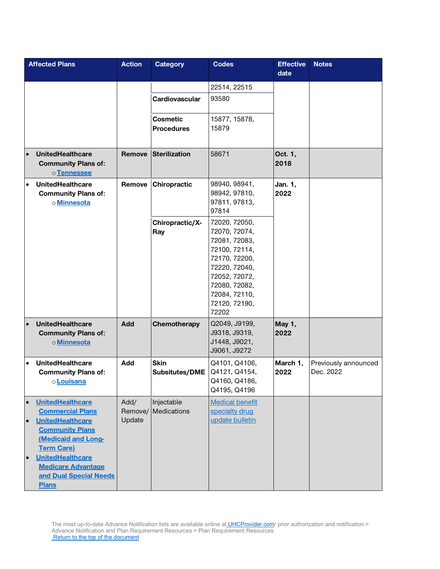|                                     | <b>Affected Plans</b>                                                                                                                                                                                                                 | <b>Action</b>             | <b>Category</b>                                        | <b>Codes</b>                                                                                                                                                                    | <b>Effective</b><br>date | <b>Notes</b>                      |
|-------------------------------------|---------------------------------------------------------------------------------------------------------------------------------------------------------------------------------------------------------------------------------------|---------------------------|--------------------------------------------------------|---------------------------------------------------------------------------------------------------------------------------------------------------------------------------------|--------------------------|-----------------------------------|
|                                     |                                                                                                                                                                                                                                       |                           | Cardiovascular<br><b>Cosmetic</b><br><b>Procedures</b> | 22514, 22515<br>93580<br>15877, 15878,<br>15879                                                                                                                                 |                          |                                   |
| $\bullet$                           | <b>UnitedHealthcare</b><br><b>Community Plans of:</b><br>o Tennessee                                                                                                                                                                  | <b>Remove</b>             | <b>Sterilization</b>                                   | 58671                                                                                                                                                                           | Oct. 1,<br>2018          |                                   |
| $\bullet$                           | <b>UnitedHealthcare</b><br><b>Community Plans of:</b><br>o Minnesota                                                                                                                                                                  | Remove                    | Chiropractic                                           | 98940, 98941,<br>98942, 97810,<br>97811, 97813,<br>97814                                                                                                                        | Jan. 1,<br>2022          |                                   |
|                                     |                                                                                                                                                                                                                                       |                           | Chiropractic/X-<br>Ray                                 | 72020, 72050,<br>72070, 72074,<br>72081, 72083,<br>72100, 72114,<br>72170, 72200,<br>72220, 72040,<br>72052, 72072,<br>72080, 72082,<br>72084, 72110,<br>72120, 72190,<br>72202 |                          |                                   |
| $\bullet$                           | <b>UnitedHealthcare</b><br><b>Community Plans of:</b><br>o Minnesota                                                                                                                                                                  | <b>Add</b>                | Chemotherapy                                           | Q2049, J9199,<br>J9318, J9319,<br>J1448, J9021,<br>J9061, J9272                                                                                                                 | May 1,<br>2022           |                                   |
| $\bullet$                           | <b>UnitedHealthcare</b><br><b>Community Plans of:</b><br>o <mark>Louisana</mark>                                                                                                                                                      | Add                       | <b>Skin</b><br><b>Subsitutes/DME</b>                   | Q4101, Q4106,<br>Q4121, Q4154,<br>Q4160, Q4186,<br>Q4195, Q4196                                                                                                                 | March 1,<br>2022         | Previously announced<br>Dec. 2022 |
| $\bullet$<br>$\bullet$<br>$\bullet$ | <b>UnitedHealthcare</b><br><b>Commercial Plans</b><br><b>UnitedHealthcare</b><br><b>Community Plans</b><br>(Medicaid and Long-<br><b>Term Care)</b><br><b>UnitedHealthcare</b><br><b>Medicare Advantage</b><br>and Dual Special Needs | Add/<br>Remove/<br>Update | Injectable<br>Medications                              | <b>Medical benefit</b><br>specialty drug<br>update bulletin                                                                                                                     |                          |                                   |
|                                     | <b>Plans</b>                                                                                                                                                                                                                          |                           |                                                        |                                                                                                                                                                                 |                          |                                   |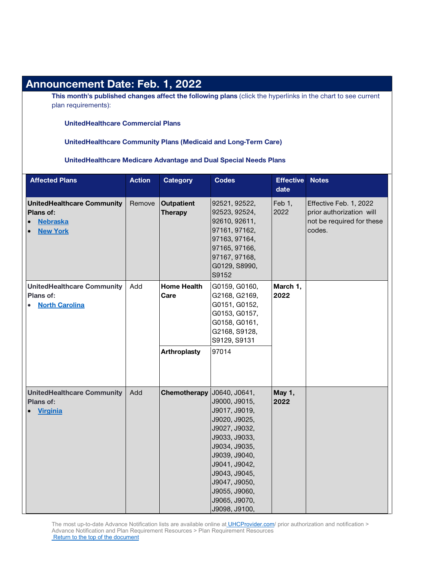| <b>Announcement Date: Feb. 1, 2022</b>                                                            |               |                                     |                                                                                                                                                                                                                           |                          |                                                                                                             |
|---------------------------------------------------------------------------------------------------|---------------|-------------------------------------|---------------------------------------------------------------------------------------------------------------------------------------------------------------------------------------------------------------------------|--------------------------|-------------------------------------------------------------------------------------------------------------|
| plan requirements):                                                                               |               |                                     |                                                                                                                                                                                                                           |                          | This month's published changes affect the following plans (click the hyperlinks in the chart to see current |
| <b>UnitedHealthcare Commercial Plans</b>                                                          |               |                                     |                                                                                                                                                                                                                           |                          |                                                                                                             |
| <b>UnitedHealthcare Community Plans (Medicaid and Long-Term Care)</b>                             |               |                                     |                                                                                                                                                                                                                           |                          |                                                                                                             |
| UnitedHealthcare Medicare Advantage and Dual Special Needs Plans                                  |               |                                     |                                                                                                                                                                                                                           |                          |                                                                                                             |
| <b>Affected Plans</b>                                                                             | <b>Action</b> | <b>Category</b>                     | <b>Codes</b>                                                                                                                                                                                                              | <b>Effective</b><br>date | <b>Notes</b>                                                                                                |
| <b>UnitedHealthcare Community</b><br>Plans of:<br><b>Nebraska</b><br>$\bullet$<br><b>New York</b> | Remove        | <b>Outpatient</b><br><b>Therapy</b> | 92521, 92522,<br>92523, 92524,<br>92610, 92611,<br>97161, 97162,<br>97163, 97164,<br>97165, 97166,<br>97167, 97168,<br>G0129, S8990,<br>S9152                                                                             | Feb 1,<br>2022           | Effective Feb. 1, 2022<br>prior authorization will<br>not be required for these<br>codes.                   |
| <b>UnitedHealthcare Community</b><br>Plans of:<br><b>North Carolina</b>                           | Add           | <b>Home Health</b><br>Care          | G0159, G0160,<br>G2168, G2169,<br>G0151, G0152,<br>G0153, G0157,<br>G0158, G0161,<br>G2168, S9128,<br>S9129, S9131                                                                                                        | March 1,<br>2022         |                                                                                                             |
|                                                                                                   |               | Arthroplasty                        | 97014                                                                                                                                                                                                                     |                          |                                                                                                             |
| <b>UnitedHealthcare Community</b><br>Plans of:<br><b>Virginia</b>                                 | Add           | Chemotherapy J0640, J0641,          | J9000, J9015,<br>J9017, J9019,<br>J9020, J9025,<br>J9027, J9032,<br>J9033, J9033,<br>J9034, J9035,<br>J9039, J9040,<br>J9041, J9042,<br>J9043, J9045,<br>J9047, J9050,<br>J9055, J9060,<br>J9065, J9070,<br>J9098, J9100, | May 1,<br>2022           |                                                                                                             |

#### The most up-to-date Advance Notification lists are available online at **UHCProvider.com**/ prior authorization and notification > Advance Notification and Plan Requirement Resources > Plan Requirement Resources

[Return to the top of the document](#page-0-0)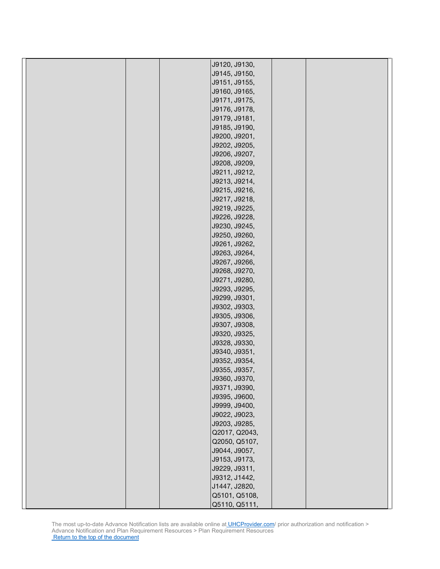|  | J9120, J9130,                  |  |
|--|--------------------------------|--|
|  | J9145, J9150,                  |  |
|  | J9151, J9155,                  |  |
|  | J9160, J9165,                  |  |
|  | J9171, J9175,                  |  |
|  | J9176, J9178,                  |  |
|  | J9179, J9181,                  |  |
|  | J9185, J9190,                  |  |
|  | J9200, J9201,                  |  |
|  | J9202, J9205,                  |  |
|  | J9206, J9207,                  |  |
|  | J9208, J9209,                  |  |
|  | J9211, J9212,                  |  |
|  | J9213, J9214,                  |  |
|  | J9215, J9216,                  |  |
|  | J9217, J9218,                  |  |
|  | J9219, J9225,                  |  |
|  | J9226, J9228,                  |  |
|  | J9230, J9245,                  |  |
|  | J9250, J9260,                  |  |
|  | J9261, J9262,                  |  |
|  | J9263, J9264,                  |  |
|  | J9267, J9266,                  |  |
|  | J9268, J9270,                  |  |
|  |                                |  |
|  | J9271, J9280,<br>J9293, J9295, |  |
|  | J9299, J9301,                  |  |
|  | J9302, J9303,                  |  |
|  | J9305, J9306,                  |  |
|  | J9307, J9308,                  |  |
|  | J9320, J9325,                  |  |
|  | J9328, J9330,                  |  |
|  |                                |  |
|  | J9340, J9351,<br>J9352, J9354, |  |
|  | J9355, J9357,                  |  |
|  |                                |  |
|  | J9360, J9370,                  |  |
|  | J9371, J9390,                  |  |
|  | J9395, J9600,                  |  |
|  | J9999, J9400,                  |  |
|  | J9022, J9023,                  |  |
|  | J9203, J9285,                  |  |
|  | Q2017, Q2043,                  |  |
|  | Q2050, Q5107,                  |  |
|  | J9044, J9057,                  |  |
|  | J9153, J9173,                  |  |
|  | J9229, J9311,                  |  |
|  | J9312, J1442,                  |  |
|  | J1447, J2820,                  |  |
|  | Q5101, Q5108,                  |  |
|  | Q5110, Q5111.                  |  |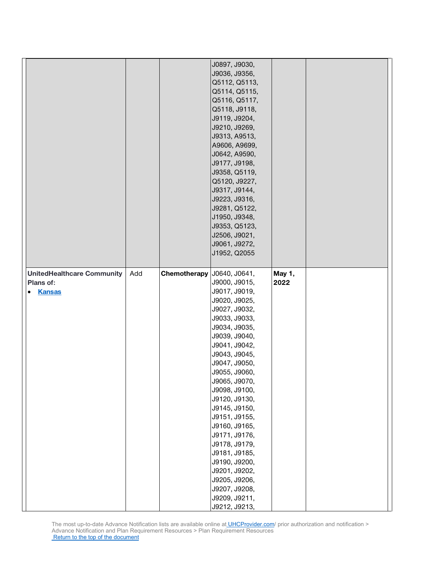|                                   |     |              | J0897, J9030,                  |        |  |
|-----------------------------------|-----|--------------|--------------------------------|--------|--|
|                                   |     |              | J9036, J9356,                  |        |  |
|                                   |     |              | Q5112, Q5113,                  |        |  |
|                                   |     |              | Q5114, Q5115,                  |        |  |
|                                   |     |              | Q5116, Q5117,                  |        |  |
|                                   |     |              | Q5118, J9118,                  |        |  |
|                                   |     |              |                                |        |  |
|                                   |     |              | J9119, J9204,                  |        |  |
|                                   |     |              | J9210, J9269,                  |        |  |
|                                   |     |              | J9313, A9513,                  |        |  |
|                                   |     |              | A9606, A9699,                  |        |  |
|                                   |     |              | J0642, A9590,                  |        |  |
|                                   |     |              | J9177, J9198,                  |        |  |
|                                   |     |              | J9358, Q5119,                  |        |  |
|                                   |     |              | Q5120, J9227,                  |        |  |
|                                   |     |              | J9317, J9144,                  |        |  |
|                                   |     |              | J9223, J9316,                  |        |  |
|                                   |     |              | J9281, Q5122,                  |        |  |
|                                   |     |              | J1950, J9348,                  |        |  |
|                                   |     |              |                                |        |  |
|                                   |     |              | J9353, Q5123,                  |        |  |
|                                   |     |              | J2506, J9021,                  |        |  |
|                                   |     |              | J9061, J9272,                  |        |  |
|                                   |     |              | J1952, Q2055                   |        |  |
|                                   |     |              |                                |        |  |
| <b>UnitedHealthcare Community</b> | Add | Chemotherapy | J0640, J0641,                  | May 1, |  |
| Plans of:                         |     |              | J9000, J9015,                  | 2022   |  |
|                                   |     |              |                                |        |  |
|                                   |     |              |                                |        |  |
| <b>Kansas</b><br>$\bullet$        |     |              | J9017, J9019,                  |        |  |
|                                   |     |              | J9020, J9025,                  |        |  |
|                                   |     |              | J9027, J9032,                  |        |  |
|                                   |     |              | J9033, J9033,                  |        |  |
|                                   |     |              | J9034, J9035,                  |        |  |
|                                   |     |              | J9039, J9040,                  |        |  |
|                                   |     |              | J9041, J9042,                  |        |  |
|                                   |     |              | J9043, J9045,                  |        |  |
|                                   |     |              | J9047, J9050,                  |        |  |
|                                   |     |              | J9055, J9060,                  |        |  |
|                                   |     |              | J9065, J9070,                  |        |  |
|                                   |     |              | J9098, J9100,                  |        |  |
|                                   |     |              |                                |        |  |
|                                   |     |              | J9120, J9130,                  |        |  |
|                                   |     |              | J9145, J9150,                  |        |  |
|                                   |     |              | J9151, J9155,                  |        |  |
|                                   |     |              | J9160, J9165,                  |        |  |
|                                   |     |              | J9171, J9176,                  |        |  |
|                                   |     |              | J9178, J9179,                  |        |  |
|                                   |     |              | J9181, J9185,                  |        |  |
|                                   |     |              | J9190, J9200,                  |        |  |
|                                   |     |              | J9201, J9202,                  |        |  |
|                                   |     |              | J9205, J9206,                  |        |  |
|                                   |     |              | J9207, J9208,                  |        |  |
|                                   |     |              | J9209, J9211,<br>J9212, J9213, |        |  |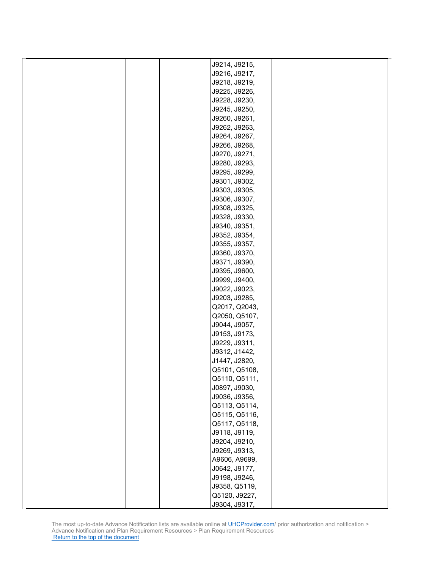|  | J9214, J9215,                  |  |
|--|--------------------------------|--|
|  | J9216, J9217,                  |  |
|  | J9218, J9219,                  |  |
|  | J9225, J9226,                  |  |
|  | J9228, J9230,                  |  |
|  | J9245, J9250,                  |  |
|  | J9260, J9261,                  |  |
|  | J9262, J9263,                  |  |
|  | J9264, J9267,                  |  |
|  | J9266, J9268,                  |  |
|  | J9270, J9271,                  |  |
|  | J9280, J9293,                  |  |
|  | J9295, J9299,                  |  |
|  | J9301, J9302,                  |  |
|  | J9303, J9305,                  |  |
|  |                                |  |
|  | J9306, J9307,<br>J9308, J9325, |  |
|  |                                |  |
|  | J9328, J9330,                  |  |
|  | J9340, J9351,                  |  |
|  | J9352, J9354,                  |  |
|  | J9355, J9357,                  |  |
|  | J9360, J9370,                  |  |
|  | J9371, J9390,                  |  |
|  | J9395, J9600,                  |  |
|  | J9999, J9400,                  |  |
|  | J9022, J9023,                  |  |
|  | J9203, J9285,                  |  |
|  | Q2017, Q2043,                  |  |
|  | Q2050, Q5107,                  |  |
|  | J9044, J9057,                  |  |
|  | J9153, J9173,                  |  |
|  | J9229, J9311,                  |  |
|  | J9312, J1442,                  |  |
|  | J1447, J2820,                  |  |
|  | Q5101, Q5108,                  |  |
|  | Q5110, Q5111,                  |  |
|  | J0897, J9030,                  |  |
|  | J9036, J9356,                  |  |
|  | Q5113, Q5114,                  |  |
|  | Q5115, Q5116,                  |  |
|  | Q5117, Q5118,                  |  |
|  | J9118, J9119,                  |  |
|  | J9204, J9210,                  |  |
|  | J9269, J9313,                  |  |
|  | A9606, A9699,                  |  |
|  | J0642, J9177,                  |  |
|  | J9198, J9246,                  |  |
|  | J9358, Q5119,                  |  |
|  | Q5120, J9227,                  |  |
|  | J9304, J9317,                  |  |
|  |                                |  |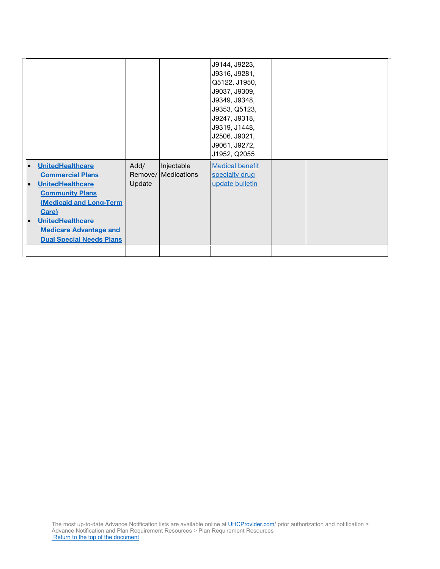|                                      |        |                     | J9144, J9223,<br>J9316, J9281, |  |
|--------------------------------------|--------|---------------------|--------------------------------|--|
|                                      |        |                     | Q5122, J1950,                  |  |
|                                      |        |                     | J9037, J9309,                  |  |
|                                      |        |                     | J9349, J9348,                  |  |
|                                      |        |                     | J9353, Q5123,                  |  |
|                                      |        |                     | J9247, J9318,                  |  |
|                                      |        |                     | J9319, J1448,                  |  |
|                                      |        |                     | J2506, J9021,                  |  |
|                                      |        |                     | J9061, J9272,                  |  |
|                                      |        |                     | J1952, Q2055                   |  |
| <b>UnitedHealthcare</b><br>$\bullet$ | Add/   | Injectable          | <b>Medical benefit</b>         |  |
| <b>Commercial Plans</b>              |        | Remove/ Medications | specialty drug                 |  |
| <b>UnitedHealthcare</b><br>$\bullet$ | Update |                     | update bulletin                |  |
| <b>Community Plans</b>               |        |                     |                                |  |
| <b>(Medicaid and Long-Term</b>       |        |                     |                                |  |
| Care)                                |        |                     |                                |  |
| <b>UnitedHealthcare</b><br>$\bullet$ |        |                     |                                |  |
| <b>Medicare Advantage and</b>        |        |                     |                                |  |
| <b>Dual Special Needs Plans</b>      |        |                     |                                |  |
|                                      |        |                     |                                |  |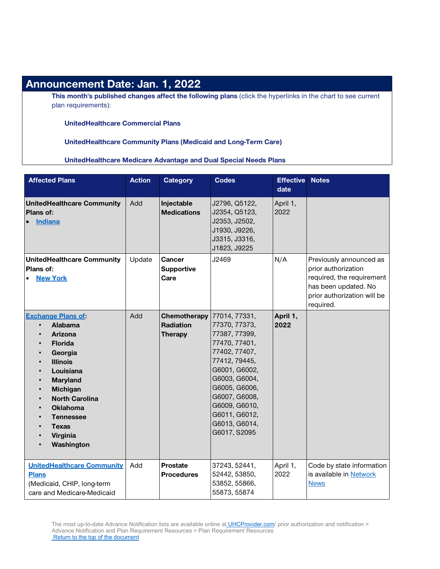## **Announcement Date: Jan. 1, 2022**

**This month's published changes affect the following plans** (click the hyperlinks in the chart to see current plan requirements):

**UnitedHealthcare Commercial Plans**

**UnitedHealthcare Community Plans (Medicaid and Long-Term Care)**

**UnitedHealthcare Medicare Advantage and Dual Special Needs Plans**

| <b>Affected Plans</b>                                                                                                                                                                                                                                                                                                                                                                                | <b>Action</b> | <b>Category</b>                                    | <b>Codes</b>                                                                                                                                                                                                                              | <b>Effective</b><br>date | <b>Notes</b>                                                                                                                                    |
|------------------------------------------------------------------------------------------------------------------------------------------------------------------------------------------------------------------------------------------------------------------------------------------------------------------------------------------------------------------------------------------------------|---------------|----------------------------------------------------|-------------------------------------------------------------------------------------------------------------------------------------------------------------------------------------------------------------------------------------------|--------------------------|-------------------------------------------------------------------------------------------------------------------------------------------------|
| <b>UnitedHealthcare Community</b><br><b>Plans of:</b><br><b>Indiana</b><br>$\bullet$                                                                                                                                                                                                                                                                                                                 | Add           | Injectable<br><b>Medications</b>                   | J2796, Q5122,<br>J2354, Q5123,<br>J2353, J2502,<br>J1930, J9226,<br>J3315, J3316,<br>J1823, J9225                                                                                                                                         | April 1,<br>2022         |                                                                                                                                                 |
| <b>UnitedHealthcare Community</b><br>Plans of:<br><b>New York</b>                                                                                                                                                                                                                                                                                                                                    | Update        | Cancer<br><b>Supportive</b><br>Care                | J2469                                                                                                                                                                                                                                     | N/A                      | Previously announced as<br>prior authorization<br>required, the requirement<br>has been updated. No<br>prior authorization will be<br>required. |
| <b>Exchange Plans of:</b><br>Alabama<br>$\bullet$<br>Arizona<br><b>Florida</b><br>$\bullet$<br>Georgia<br>$\bullet$<br><b>Illinois</b><br>$\bullet$<br>Louisiana<br>$\bullet$<br><b>Maryland</b><br>$\bullet$<br>Michigan<br>$\bullet$<br><b>North Carolina</b><br>$\bullet$<br><b>Oklahoma</b><br>$\bullet$<br><b>Tennessee</b><br><b>Texas</b><br>Virginia<br>$\bullet$<br>Washington<br>$\bullet$ | Add           | Chemotherapy<br><b>Radiation</b><br><b>Therapy</b> | 77014, 77331,<br>77370, 77373,<br>77387, 77399,<br>77470, 77401,<br>77402, 77407,<br>77412, 79445,<br>G6001, G6002,<br>G6003, G6004,<br>G6005, G6006,<br>G6007, G6008,<br>G6009, G6010,<br>G6011, G6012,<br>G6013, G6014,<br>G6017, S2095 | April 1,<br>2022         |                                                                                                                                                 |
| <b>UnitedHealthcare Community</b><br><b>Plans</b><br>(Medicaid, CHIP, long-term<br>care and Medicare-Medicaid                                                                                                                                                                                                                                                                                        | Add           | <b>Prostate</b><br><b>Procedures</b>               | 37243, 52441,<br>52442, 53850,<br>53852, 55866,<br>55873, 55874                                                                                                                                                                           | April 1,<br>2022         | Code by state information<br>is available in Network<br><b>News</b>                                                                             |

The most up-to-date Advance Notification lists are available online at [UHCProvider.com/](https://www.uhcprovider.com/) prior authorization and notification > Advance Notification and Plan Requirement Resources > Plan Requirement Resources [Return to the top of the document](#page-0-0)